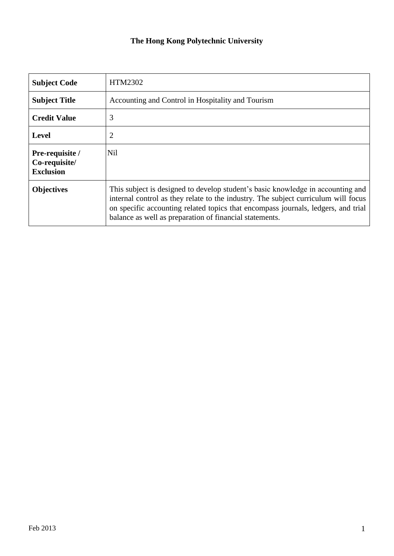## **The Hong Kong Polytechnic University**

| <b>Subject Code</b>                                  | HTM2302                                                                                                                                                                                                                                                                                                               |  |  |
|------------------------------------------------------|-----------------------------------------------------------------------------------------------------------------------------------------------------------------------------------------------------------------------------------------------------------------------------------------------------------------------|--|--|
| <b>Subject Title</b>                                 | Accounting and Control in Hospitality and Tourism                                                                                                                                                                                                                                                                     |  |  |
| <b>Credit Value</b>                                  | 3                                                                                                                                                                                                                                                                                                                     |  |  |
| <b>Level</b>                                         | 2                                                                                                                                                                                                                                                                                                                     |  |  |
| Pre-requisite /<br>Co-requisite/<br><b>Exclusion</b> | <b>Nil</b>                                                                                                                                                                                                                                                                                                            |  |  |
| <b>Objectives</b>                                    | This subject is designed to develop student's basic knowledge in accounting and<br>internal control as they relate to the industry. The subject curriculum will focus<br>on specific accounting related topics that encompass journals, ledgers, and trial<br>balance as well as preparation of financial statements. |  |  |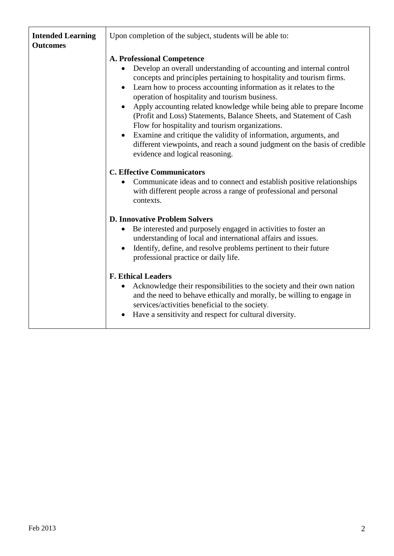| <b>Intended Learning</b><br><b>Outcomes</b> | Upon completion of the subject, students will be able to:                                                                                                                                                                                                                                                                                                                                                                                                                                                                                                                                                                                                                                                               |  |  |
|---------------------------------------------|-------------------------------------------------------------------------------------------------------------------------------------------------------------------------------------------------------------------------------------------------------------------------------------------------------------------------------------------------------------------------------------------------------------------------------------------------------------------------------------------------------------------------------------------------------------------------------------------------------------------------------------------------------------------------------------------------------------------------|--|--|
|                                             | <b>A. Professional Competence</b><br>Develop an overall understanding of accounting and internal control<br>$\bullet$<br>concepts and principles pertaining to hospitality and tourism firms.<br>Learn how to process accounting information as it relates to the<br>operation of hospitality and tourism business.<br>Apply accounting related knowledge while being able to prepare Income<br>(Profit and Loss) Statements, Balance Sheets, and Statement of Cash<br>Flow for hospitality and tourism organizations.<br>Examine and critique the validity of information, arguments, and<br>$\bullet$<br>different viewpoints, and reach a sound judgment on the basis of credible<br>evidence and logical reasoning. |  |  |
|                                             | <b>C. Effective Communicators</b><br>Communicate ideas and to connect and establish positive relationships<br>$\bullet$<br>with different people across a range of professional and personal<br>contexts.                                                                                                                                                                                                                                                                                                                                                                                                                                                                                                               |  |  |
|                                             | <b>D. Innovative Problem Solvers</b><br>Be interested and purposely engaged in activities to foster an<br>$\bullet$<br>understanding of local and international affairs and issues.<br>Identify, define, and resolve problems pertinent to their future<br>$\bullet$<br>professional practice or daily life.                                                                                                                                                                                                                                                                                                                                                                                                            |  |  |
|                                             | <b>F. Ethical Leaders</b><br>Acknowledge their responsibilities to the society and their own nation<br>and the need to behave ethically and morally, be willing to engage in<br>services/activities beneficial to the society.<br>Have a sensitivity and respect for cultural diversity.                                                                                                                                                                                                                                                                                                                                                                                                                                |  |  |